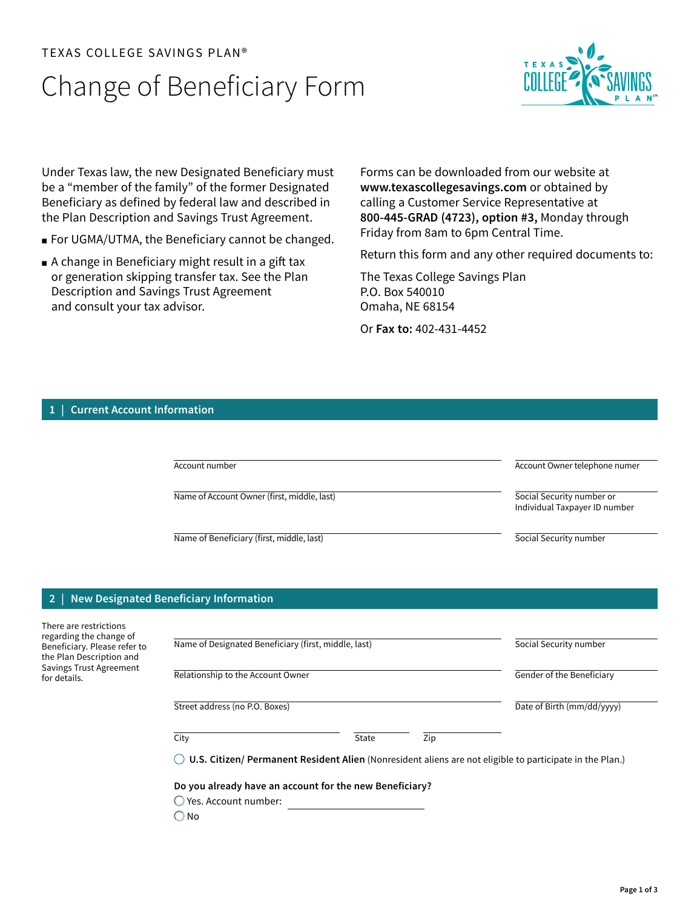## TEXAS COLLEGE SAVINGS PLAN®

# Change of Beneficiary Form



Under Texas law, the new Designated Beneficiary must be a "member of the family" of the former Designated Beneficiary as defined by federal law and described in the Plan Description and Savings Trust Agreement.

- For UGMA/UTMA, the Beneficiary cannot be changed.
- A change in Beneficiary might result in a gift tax or generation skipping transfer tax. See the Plan Description and Savings Trust Agreement and consult your tax advisor.

Forms can be downloaded from our website at **[www.texascollegesavings.com](http://www.texascollegesavings.com)** or obtained by calling a Customer Service Representative at **800-445-GRAD (4723), option #3,** Monday through Friday from 8am to 6pm Central Time.

Return this form and any other required documents to:

The Texas College Savings Plan P.O. Box 540010 Omaha, NE 68154

Or **Fax to:** 402-431-4452

## **1 | Current Account Information**

| Account number                              | Account Owner telephone numer                              |
|---------------------------------------------|------------------------------------------------------------|
| Name of Account Owner (first, middle, last) | Social Security number or<br>Individual Taxpayer ID number |
| Name of Beneficiary (first, middle, last)   | Social Security number                                     |

## **2 | New Designated Beneficiary Information**

| There are restrictions<br>regarding the change of<br>Beneficiary. Please refer to<br>the Plan Description and | Name of Designated Beneficiary (first, middle, last)                                                     |       |     | Social Security number     |  |
|---------------------------------------------------------------------------------------------------------------|----------------------------------------------------------------------------------------------------------|-------|-----|----------------------------|--|
| Savings Trust Agreement<br>for details.                                                                       | Relationship to the Account Owner                                                                        |       |     | Gender of the Beneficiary  |  |
|                                                                                                               | Street address (no P.O. Boxes)                                                                           |       |     | Date of Birth (mm/dd/yyyy) |  |
|                                                                                                               | City                                                                                                     | State | Zip |                            |  |
|                                                                                                               | U.S. Citizen/ Permanent Resident Alien (Nonresident aliens are not eligible to participate in the Plan.) |       |     |                            |  |
|                                                                                                               | Do you already have an account for the new Beneficiary?                                                  |       |     |                            |  |
|                                                                                                               | Yes. Account number:                                                                                     |       |     |                            |  |
|                                                                                                               | ) No                                                                                                     |       |     |                            |  |
|                                                                                                               |                                                                                                          |       |     |                            |  |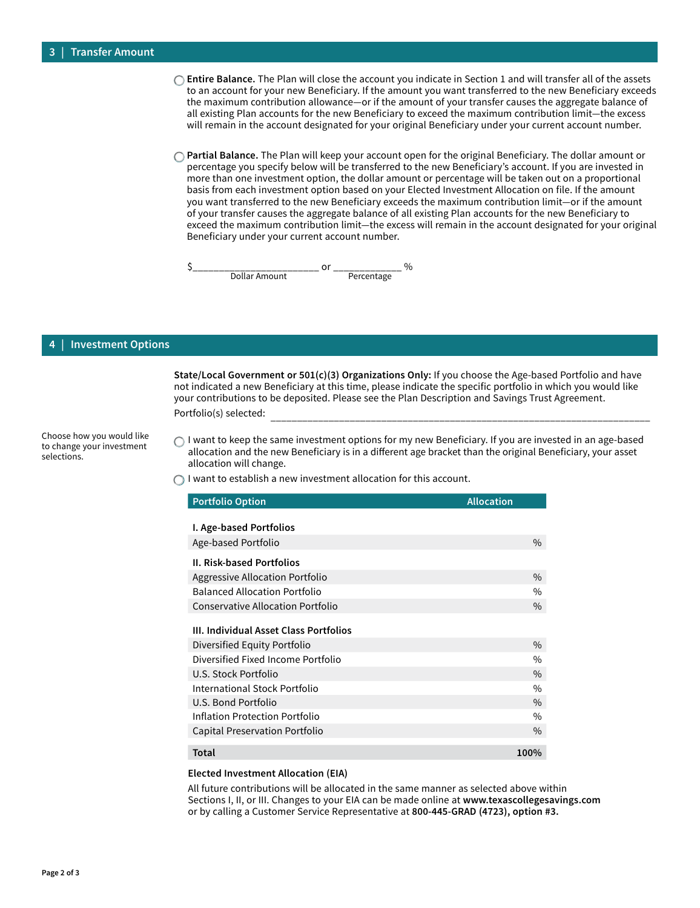- **Entire Balance.** The Plan will close the account you indicate in Section 1 and will transfer all of the assets to an account for your new Beneficiary. If the amount you want transferred to the new Beneficiary exceeds the maximum contribution allowance—or if the amount of your transfer causes the aggregate balance of all existing Plan accounts for the new Beneficiary to exceed the maximum contribution limit—the excess will remain in the account designated for your original Beneficiary under your current account number.
- **Partial Balance.** The Plan will keep your account open for the original Beneficiary. The dollar amount or percentage you specify below will be transferred to the new Beneficiary's account. If you are invested in more than one investment option, the dollar amount or percentage will be taken out on a proportional basis from each investment option based on your Elected Investment Allocation on file. If the amount you want transferred to the new Beneficiary exceeds the maximum contribution limit—or if the amount of your transfer causes the aggregate balance of all existing Plan accounts for the new Beneficiary to exceed the maximum contribution limit—the excess will remain in the account designated for your original Beneficiary under your current account number.

 $\frac{S_{\text{2}}}{\text{Dollar Amount}}$  or  $\frac{S_{\text{2}}}{\text{Percentage}}$ Dollar Amount

### **4 | Investment Options**

Portfolio(s) selected: **State/Local Government or 501(c)(3) Organizations Only:** If you choose the Age-based Portfolio and have not indicated a new Beneficiary at this time, please indicate the specific portfolio in which you would like your contributions to be deposited. Please see the Plan Description and Savings Trust Agreement.

Choose how you would like to change your investment selections.

 $\bigcap$  I want to keep the same investment options for my new Beneficiary. If you are invested in an age-based allocation and the new Beneficiary is in a different age bracket than the original Beneficiary, your asset allocation will change.

 $\bigcap$  I want to establish a new investment allocation for this account.

| <b>Portfolio Option</b>                  | <b>Allocation</b> |
|------------------------------------------|-------------------|
|                                          |                   |
| I. Age-based Portfolios                  |                   |
| Age-based Portfolio                      | $\%$              |
| <b>II. Risk-based Portfolios</b>         |                   |
| Aggressive Allocation Portfolio          | $\%$              |
| <b>Balanced Allocation Portfolio</b>     | $\%$              |
| <b>Conservative Allocation Portfolio</b> | $\%$              |
| III. Individual Asset Class Portfolios   |                   |
| Diversified Equity Portfolio             | $\%$              |
| Diversified Fixed Income Portfolio       | $\%$              |
| U.S. Stock Portfolio                     | $\%$              |
| International Stock Portfolio            | $\%$              |
| U.S. Bond Portfolio                      | $\frac{0}{0}$     |
| Inflation Protection Portfolio           | $\%$              |
| Capital Preservation Portfolio           | $\frac{0}{0}$     |
| Total                                    | 100%              |

### **Elected Investment Allocation (EIA)**

All future contributions will be allocated in the same manner as selected above within Sections I, II, or III. Changes to your EIA can be made online at **[www.texascollegesavings.com](http://www.texascollegesavings.com)** or by calling a Customer Service Representative at **800-445-GRAD (4723), option #3.**